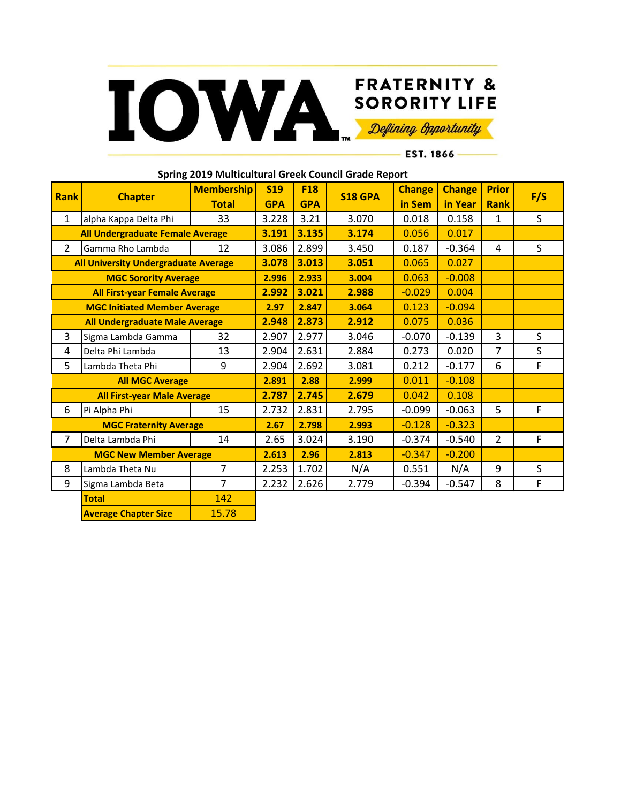

EST. 1866-

| <b>Rank</b>                                 | <b>Chapter</b>                     | <b>Membership</b> | <b>S19</b> | <b>F18</b> | <b>S18 GPA</b> | <b>Change</b> | <b>Change</b> | <b>Prior</b>   |     |
|---------------------------------------------|------------------------------------|-------------------|------------|------------|----------------|---------------|---------------|----------------|-----|
|                                             |                                    | <b>Total</b>      | <b>GPA</b> | <b>GPA</b> |                | in Sem        | in Year       | <b>Rank</b>    | F/S |
| $\mathbf{1}$                                | alpha Kappa Delta Phi              | 33                | 3.228      | 3.21       | 3.070          | 0.018         | 0.158         | $\mathbf 1$    | S   |
|                                             | All Undergraduate Female Average   |                   | 3.191      | 3.135      | 3.174          | 0.056         | 0.017         |                |     |
| $\overline{2}$                              | Gamma Rho Lambda                   | 12                | 3.086      | 2.899      | 3.450          | 0.187         | $-0.364$      | 4              | S   |
| <b>All University Undergraduate Average</b> |                                    | 3.078             | 3.013      | 3.051      | 0.065          | 0.027         |               |                |     |
| <b>MGC Sorority Average</b>                 |                                    |                   | 2.996      | 2.933      | 3.004          | 0.063         | $-0.008$      |                |     |
| <b>All First-year Female Average</b>        |                                    | 2.992             | 3.021      | 2.988      | $-0.029$       | 0.004         |               |                |     |
| <b>MGC Initiated Member Average</b>         |                                    | 2.97              | 2.847      | 3.064      | 0.123          | $-0.094$      |               |                |     |
| <b>All Undergraduate Male Average</b>       |                                    |                   | 2.948      | 2.873      | 2.912          | 0.075         | 0.036         |                |     |
| 3                                           | Sigma Lambda Gamma                 | 32                | 2.907      | 2.977      | 3.046          | $-0.070$      | $-0.139$      | 3              | S.  |
| 4                                           | Delta Phi Lambda                   | 13                | 2.904      | 2.631      | 2.884          | 0.273         | 0.020         | $\overline{7}$ | S   |
| 5                                           | Lambda Theta Phi                   | 9                 | 2.904      | 2.692      | 3.081          | 0.212         | $-0.177$      | 6              | F   |
| <b>All MGC Average</b>                      |                                    |                   | 2.891      | 2.88       | 2.999          | 0.011         | $-0.108$      |                |     |
|                                             | <b>All First-year Male Average</b> |                   | 2.787      | 2.745      | 2.679          | 0.042         | 0.108         |                |     |
| 6                                           | Pi Alpha Phi                       | 15                | 2.732      | 2.831      | 2.795          | $-0.099$      | $-0.063$      | 5              | F   |
|                                             | <b>MGC Fraternity Average</b>      |                   | 2.67       | 2.798      | 2.993          | $-0.128$      | $-0.323$      |                |     |
| 7                                           | Delta Lambda Phi                   | 14                | 2.65       | 3.024      | 3.190          | $-0.374$      | $-0.540$      | $\overline{2}$ | F   |
| <b>MGC New Member Average</b>               |                                    |                   | 2.613      | 2.96       | 2.813          | $-0.347$      | $-0.200$      |                |     |
| 8                                           | Lambda Theta Nu                    | $\overline{7}$    | 2.253      | 1.702      | N/A            | 0.551         | N/A           | 9              | S   |
| 9                                           | Sigma Lambda Beta                  | $\overline{7}$    | 2.232      | 2.626      | 2.779          | $-0.394$      | $-0.547$      | 8              | F   |
|                                             | <b>Total</b>                       | 142               |            |            |                |               |               |                |     |
|                                             | <b>Average Chapter Size</b>        | 15.78             |            |            |                |               |               |                |     |

**Spring 2019 Multicultural Greek Council Grade Report**